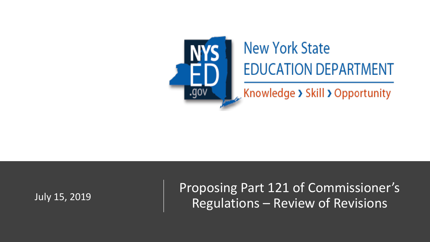

# **New York State EDUCATION DEPARTMENT**

 $\sim$  Knowledge > Skill > Opportunity

Proposing Part 121 of Commissioner's July 15, 2019 <br>
Regulations – Review of Revisions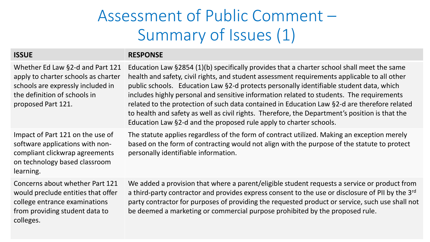#### Assessment of Public Comment – Summary of Issues (1)

#### **ISSUE RESPONSE**

| Whether Ed Law §2-d and Part 121<br>apply to charter schools as charter<br>schools are expressly included in<br>the definition of schools in<br>proposed Part 121. | Education Law §2854 (1)(b) specifically provides that a charter school shall meet the same<br>health and safety, civil rights, and student assessment requirements applicable to all other<br>public schools. Education Law §2-d protects personally identifiable student data, which<br>includes highly personal and sensitive information related to students. The requirements<br>related to the protection of such data contained in Education Law §2-d are therefore related<br>to health and safety as well as civil rights. Therefore, the Department's position is that the<br>Education Law §2-d and the proposed rule apply to charter schools. |
|--------------------------------------------------------------------------------------------------------------------------------------------------------------------|-----------------------------------------------------------------------------------------------------------------------------------------------------------------------------------------------------------------------------------------------------------------------------------------------------------------------------------------------------------------------------------------------------------------------------------------------------------------------------------------------------------------------------------------------------------------------------------------------------------------------------------------------------------|
| Impact of Part 121 on the use of<br>software applications with non-<br>compliant clickwrap agreements<br>on technology based classroom<br>learning.                | The statute applies regardless of the form of contract utilized. Making an exception merely<br>based on the form of contracting would not align with the purpose of the statute to protect<br>personally identifiable information.                                                                                                                                                                                                                                                                                                                                                                                                                        |
| Concerns about whether Part 121<br>would preclude entities that offer<br>college entrance examinations<br>from providing student data to<br>colleges.              | We added a provision that where a parent/eligible student requests a service or product from<br>a third-party contractor and provides express consent to the use or disclosure of PII by the 3rd<br>party contractor for purposes of providing the requested product or service, such use shall not<br>be deemed a marketing or commercial purpose prohibited by the proposed rule.                                                                                                                                                                                                                                                                       |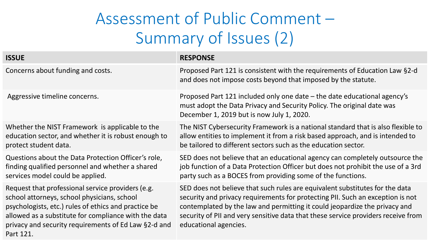### Assessment of Public Comment – Summary of Issues (2)

| <b>ISSUE</b>                                                                                                                                                                                                                                                                          | <b>RESPONSE</b>                                                                                                                                                                                                                                                                                                                                            |
|---------------------------------------------------------------------------------------------------------------------------------------------------------------------------------------------------------------------------------------------------------------------------------------|------------------------------------------------------------------------------------------------------------------------------------------------------------------------------------------------------------------------------------------------------------------------------------------------------------------------------------------------------------|
| Concerns about funding and costs.                                                                                                                                                                                                                                                     | Proposed Part 121 is consistent with the requirements of Education Law §2-d<br>and does not impose costs beyond that imposed by the statute.                                                                                                                                                                                                               |
| Aggressive timeline concerns.                                                                                                                                                                                                                                                         | Proposed Part 121 included only one date – the date educational agency's<br>must adopt the Data Privacy and Security Policy. The original date was<br>December 1, 2019 but is now July 1, 2020.                                                                                                                                                            |
| Whether the NIST Framework is applicable to the<br>education sector, and whether it is robust enough to<br>protect student data.                                                                                                                                                      | The NIST Cybersecurity Framework is a national standard that is also flexible to<br>allow entities to implement it from a risk based approach, and is intended to<br>be tailored to different sectors such as the education sector.                                                                                                                        |
| Questions about the Data Protection Officer's role,<br>finding qualified personnel and whether a shared<br>services model could be applied.                                                                                                                                           | SED does not believe that an educational agency can completely outsource the<br>job function of a Data Protection Officer but does not prohibit the use of a 3rd<br>party such as a BOCES from providing some of the functions.                                                                                                                            |
| Request that professional service providers (e.g.<br>school attorneys, school physicians, school<br>psychologists, etc.) rules of ethics and practice be<br>allowed as a substitute for compliance with the data<br>privacy and security requirements of Ed Law §2-d and<br>Part 121. | SED does not believe that such rules are equivalent substitutes for the data<br>security and privacy requirements for protecting PII. Such an exception is not<br>contemplated by the law and permitting it could jeopardize the privacy and<br>security of PII and very sensitive data that these service providers receive from<br>educational agencies. |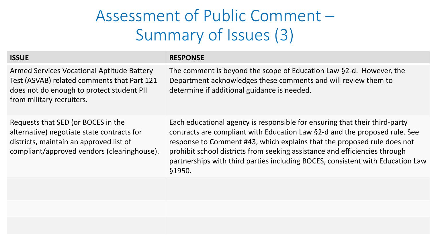#### Assessment of Public Comment – Summary of Issues (3)

| <b>ISSUE</b>                                                                                                                                                               | <b>RESPONSE</b>                                                                                                                                                                                                                                                                                                                                                                                               |
|----------------------------------------------------------------------------------------------------------------------------------------------------------------------------|---------------------------------------------------------------------------------------------------------------------------------------------------------------------------------------------------------------------------------------------------------------------------------------------------------------------------------------------------------------------------------------------------------------|
| Armed Services Vocational Aptitude Battery<br>Test (ASVAB) related comments that Part 121<br>does not do enough to protect student PII<br>from military recruiters.        | The comment is beyond the scope of Education Law §2-d. However, the<br>Department acknowledges these comments and will review them to<br>determine if additional guidance is needed.                                                                                                                                                                                                                          |
| Requests that SED (or BOCES in the<br>alternative) negotiate state contracts for<br>districts, maintain an approved list of<br>compliant/approved vendors (clearinghouse). | Each educational agency is responsible for ensuring that their third-party<br>contracts are compliant with Education Law §2-d and the proposed rule. See<br>response to Comment #43, which explains that the proposed rule does not<br>prohibit school districts from seeking assistance and efficiencies through<br>partnerships with third parties including BOCES, consistent with Education Law<br>§1950. |
|                                                                                                                                                                            |                                                                                                                                                                                                                                                                                                                                                                                                               |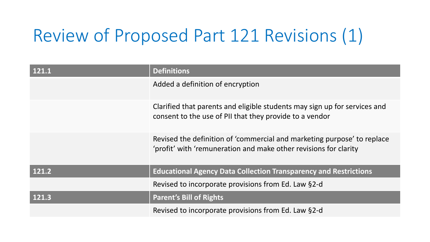# Review of Proposed Part 121 Revisions (1)

| 121.1 | <b>Definitions</b>                                                                                                                          |
|-------|---------------------------------------------------------------------------------------------------------------------------------------------|
|       | Added a definition of encryption                                                                                                            |
|       | Clarified that parents and eligible students may sign up for services and<br>consent to the use of PII that they provide to a vendor        |
|       | Revised the definition of 'commercial and marketing purpose' to replace<br>'profit' with 'remuneration and make other revisions for clarity |
| 121.2 | <b>Educational Agency Data Collection Transparency and Restrictions</b>                                                                     |
|       | Revised to incorporate provisions from Ed. Law §2-d                                                                                         |
| 121.3 | <b>Parent's Bill of Rights</b>                                                                                                              |
|       | Revised to incorporate provisions from Ed. Law §2-d                                                                                         |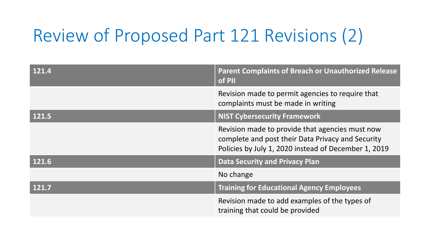# Review of Proposed Part 121 Revisions (2)

| 121.4 | <b>Parent Complaints of Breach or Unauthorized Release</b><br>of PII                                                                                         |
|-------|--------------------------------------------------------------------------------------------------------------------------------------------------------------|
|       | Revision made to permit agencies to require that<br>complaints must be made in writing                                                                       |
| 121.5 | <b>NIST Cybersecurity Framework</b>                                                                                                                          |
|       | Revision made to provide that agencies must now<br>complete and post their Data Privacy and Security<br>Policies by July 1, 2020 instead of December 1, 2019 |
| 121.6 | <b>Data Security and Privacy Plan</b>                                                                                                                        |
|       | No change                                                                                                                                                    |
| 121.7 | <b>Training for Educational Agency Employees</b>                                                                                                             |
|       | Revision made to add examples of the types of<br>training that could be provided                                                                             |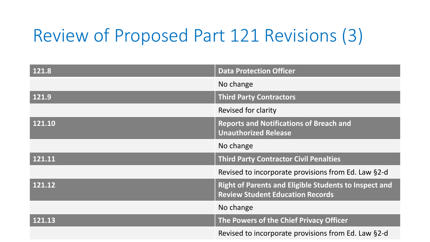# Review of Proposed Part 121 Revisions (3)

| 121.8               | <b>Data Protection Officer</b>                                                                          |
|---------------------|---------------------------------------------------------------------------------------------------------|
|                     | No change                                                                                               |
| 121.9               | <b>Third Party Contractors</b>                                                                          |
|                     | Revised for clarity                                                                                     |
| 121.10              | <b>Reports and Notifications of Breach and</b><br><b>Unauthorized Release</b>                           |
|                     | No change                                                                                               |
| $\overline{121.11}$ | <b>Third Party Contractor Civil Penalties</b>                                                           |
|                     | Revised to incorporate provisions from Ed. Law §2-d                                                     |
| 121.12              | <b>Right of Parents and Eligible Students to Inspect and</b><br><b>Review Student Education Records</b> |
|                     | No change                                                                                               |
| $\overline{121.13}$ | The Powers of the Chief Privacy Officer                                                                 |
|                     | Revised to incorporate provisions from Ed. Law §2-d                                                     |